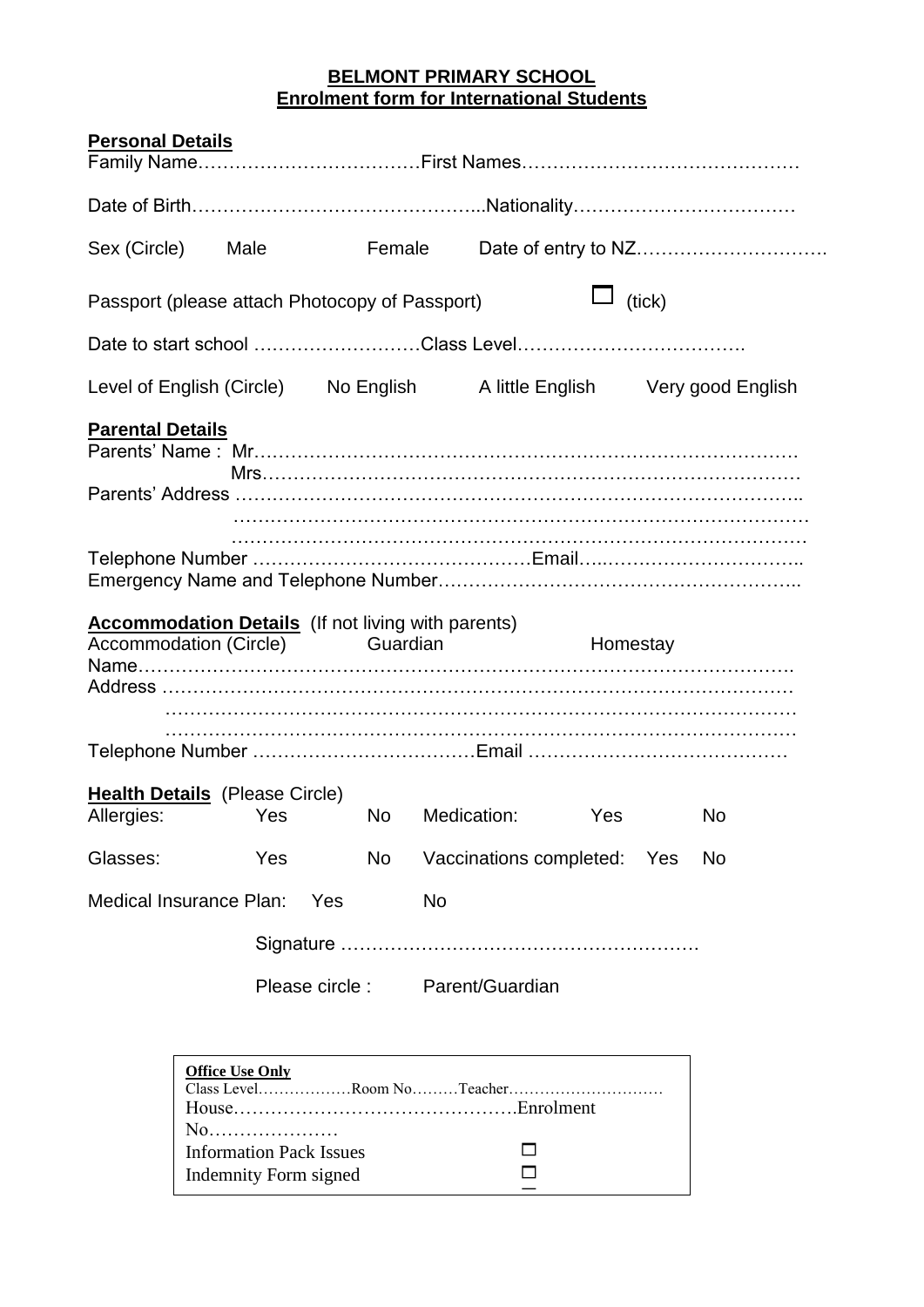## **BELMONT PRIMARY SCHOOL Enrolment form for International Students**

| <b>Personal Details</b>                                                                                  |                        |                                                                      |                 |    |           |                                     |  |  |                                                                         |  |  |
|----------------------------------------------------------------------------------------------------------|------------------------|----------------------------------------------------------------------|-----------------|----|-----------|-------------------------------------|--|--|-------------------------------------------------------------------------|--|--|
|                                                                                                          |                        |                                                                      |                 |    |           |                                     |  |  |                                                                         |  |  |
| Sex (Circle)                                                                                             | Male                   |                                                                      |                 |    | Female    |                                     |  |  |                                                                         |  |  |
| Passport (please attach Photocopy of Passport)                                                           |                        |                                                                      |                 |    |           | $\Box$ (tick)                       |  |  |                                                                         |  |  |
|                                                                                                          |                        |                                                                      |                 |    |           |                                     |  |  |                                                                         |  |  |
|                                                                                                          |                        |                                                                      |                 |    |           |                                     |  |  | Level of English (Circle) No English A little English Very good English |  |  |
| <b>Parental Details</b>                                                                                  |                        |                                                                      |                 |    |           |                                     |  |  |                                                                         |  |  |
|                                                                                                          |                        |                                                                      |                 |    |           |                                     |  |  |                                                                         |  |  |
| <b>Accommodation Details</b> (If not living with parents)<br>Accommodation (Circle) Guardian<br>Homestay |                        |                                                                      |                 |    |           |                                     |  |  |                                                                         |  |  |
|                                                                                                          |                        |                                                                      |                 |    |           |                                     |  |  |                                                                         |  |  |
| <b>Health Details</b> (Please Circle)<br>Allergies: Yes No                                               |                        |                                                                      |                 |    |           | Medication: Yes                     |  |  | <b>No</b>                                                               |  |  |
| Glasses:                                                                                                 |                        | Yes                                                                  |                 | No |           | Vaccinations completed: Yes         |  |  | No.                                                                     |  |  |
| Medical Insurance Plan:                                                                                  |                        |                                                                      | Yes             |    | <b>No</b> |                                     |  |  |                                                                         |  |  |
|                                                                                                          |                        |                                                                      |                 |    |           |                                     |  |  |                                                                         |  |  |
|                                                                                                          |                        |                                                                      | Please circle : |    |           | Parent/Guardian                     |  |  |                                                                         |  |  |
|                                                                                                          | <b>Office Use Only</b> | No<br><b>Information Pack Issues</b><br><b>Indemnity Form signed</b> |                 |    |           | Class LevelRoom NoTeacher<br>$\Box$ |  |  |                                                                         |  |  |

<u>Contract signed and contract signed and contract signed and contract signed and contract signed and contract si</u>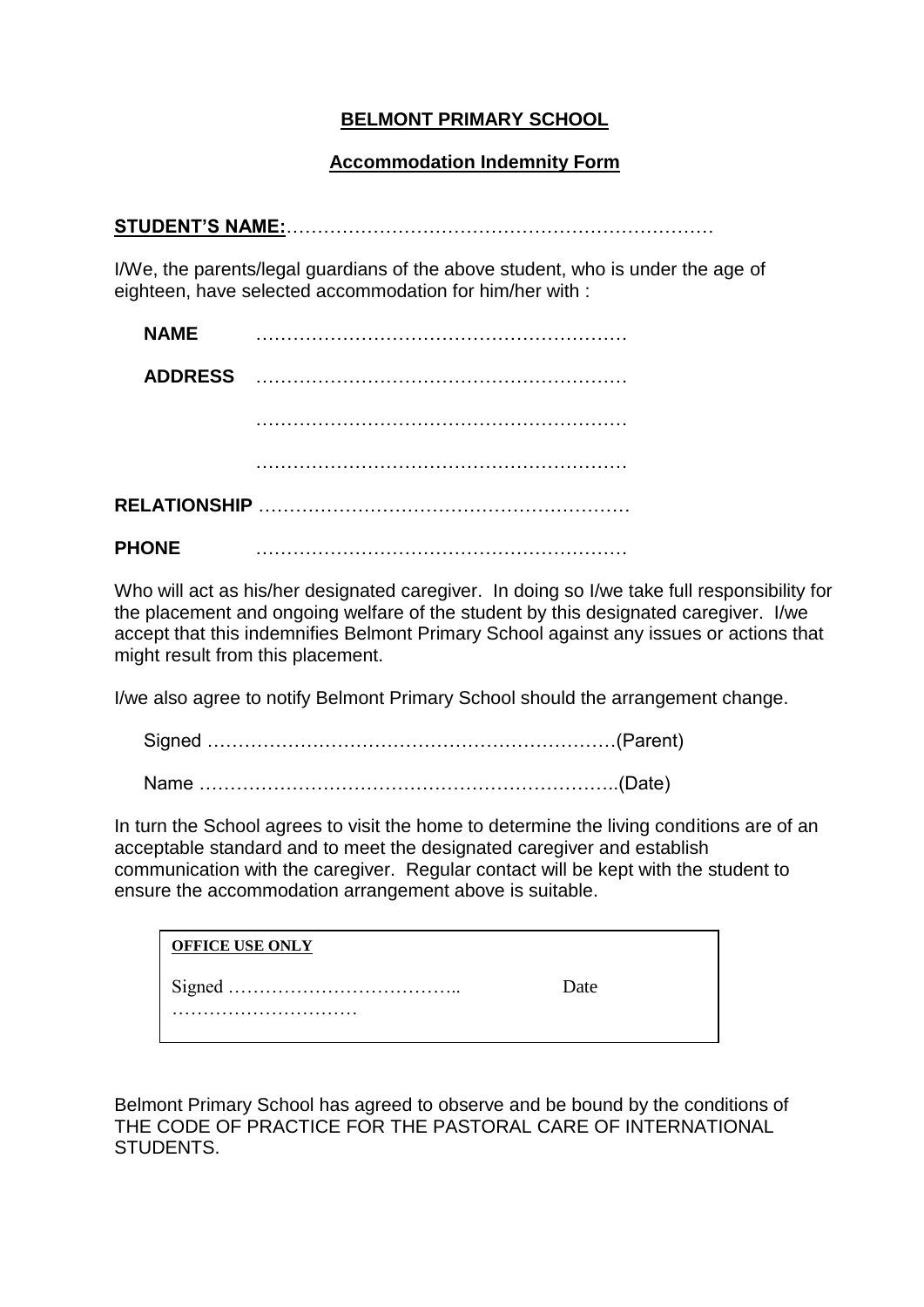# **BELMONT PRIMARY SCHOOL**

## **Accommodation Indemnity Form**

|--|

I/We, the parents/legal guardians of the above student, who is under the age of eighteen, have selected accommodation for him/her with :

| <b>NAME</b>    |  |  |  |  |  |  |  |  |  |
|----------------|--|--|--|--|--|--|--|--|--|
| <b>ADDRESS</b> |  |  |  |  |  |  |  |  |  |
|                |  |  |  |  |  |  |  |  |  |
|                |  |  |  |  |  |  |  |  |  |
|                |  |  |  |  |  |  |  |  |  |
| <b>PHONE</b>   |  |  |  |  |  |  |  |  |  |

Who will act as his/her designated caregiver. In doing so I/we take full responsibility for the placement and ongoing welfare of the student by this designated caregiver. I/we accept that this indemnifies Belmont Primary School against any issues or actions that might result from this placement.

I/we also agree to notify Belmont Primary School should the arrangement change.

Signed …………………………………………………………(Parent) Name …………………………………………………………..(Date)

In turn the School agrees to visit the home to determine the living conditions are of an acceptable standard and to meet the designated caregiver and establish communication with the caregiver. Regular contact will be kept with the student to ensure the accommodation arrangement above is suitable.

| <b>OFFICE USE ONLY</b> |      |  |
|------------------------|------|--|
|                        | Date |  |
|                        |      |  |

Belmont Primary School has agreed to observe and be bound by the conditions of THE CODE OF PRACTICE FOR THE PASTORAL CARE OF INTERNATIONAL STUDENTS.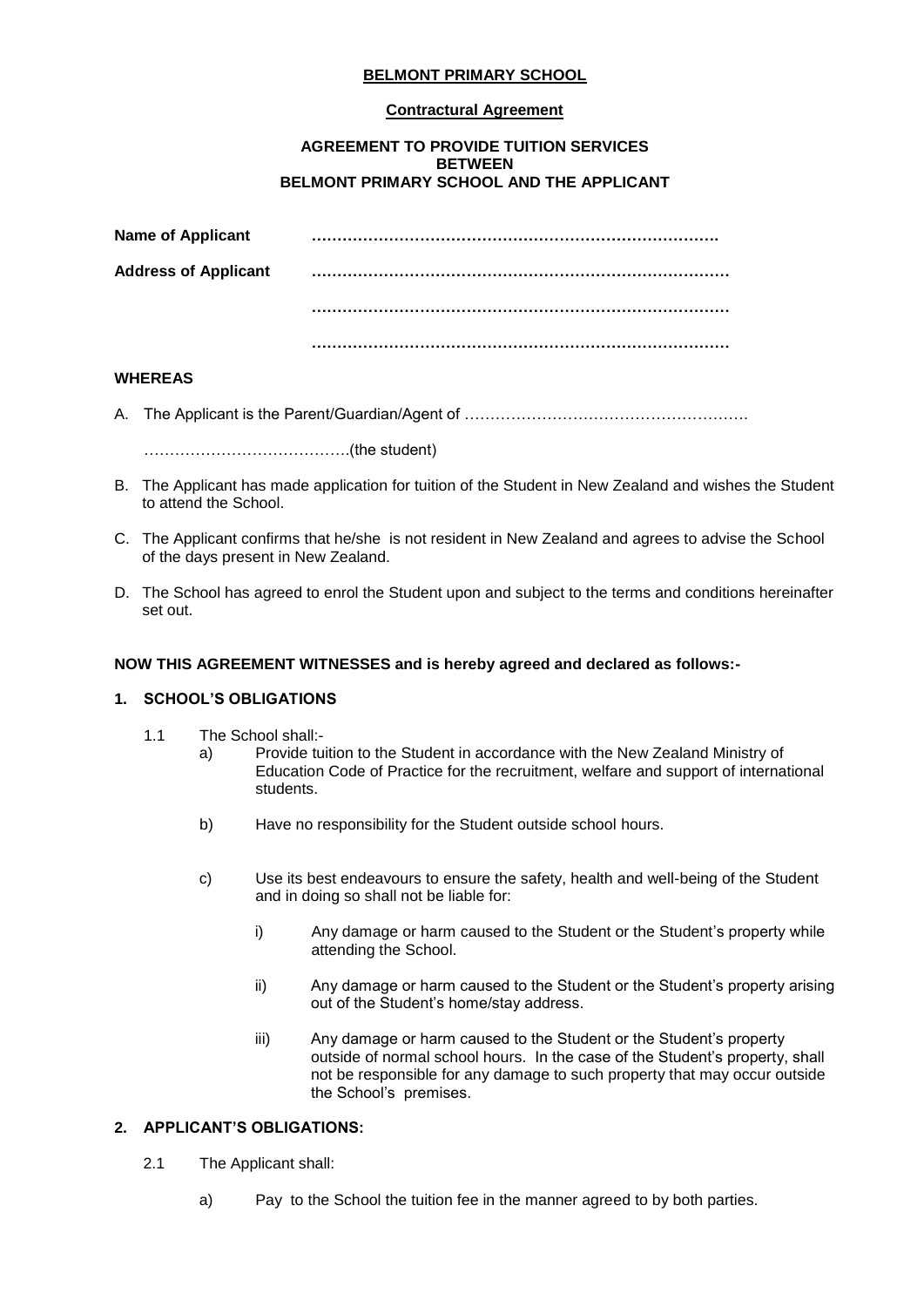## **BELMONT PRIMARY SCHOOL**

#### **Contractural Agreement**

#### **AGREEMENT TO PROVIDE TUITION SERVICES BETWEEN BELMONT PRIMARY SCHOOL AND THE APPLICANT**

| <b>Name of Applicant</b>    |  |
|-----------------------------|--|
| <b>Address of Applicant</b> |  |
|                             |  |
|                             |  |

#### **WHEREAS**

A. The Applicant is the Parent/Guardian/Agent of ……………………………………………….

………………………………….(the student)

- B. The Applicant has made application for tuition of the Student in New Zealand and wishes the Student to attend the School.
- C. The Applicant confirms that he/she is not resident in New Zealand and agrees to advise the School of the days present in New Zealand.
- D. The School has agreed to enrol the Student upon and subject to the terms and conditions hereinafter set out.

#### **NOW THIS AGREEMENT WITNESSES and is hereby agreed and declared as follows:-**

#### **1. SCHOOL'S OBLIGATIONS**

- 1.1 The School shall:
	- a) Provide tuition to the Student in accordance with the New Zealand Ministry of Education Code of Practice for the recruitment, welfare and support of international students.
		- b) Have no responsibility for the Student outside school hours.
	- c) Use its best endeavours to ensure the safety, health and well-being of the Student and in doing so shall not be liable for:
		- i) Any damage or harm caused to the Student or the Student's property while attending the School.
		- ii) Any damage or harm caused to the Student or the Student's property arising out of the Student's home/stay address.
		- iii) Any damage or harm caused to the Student or the Student's property outside of normal school hours. In the case of the Student's property, shall not be responsible for any damage to such property that may occur outside the School's premises.

#### **2. APPLICANT'S OBLIGATIONS:**

- 2.1 The Applicant shall:
	- a) Pay to the School the tuition fee in the manner agreed to by both parties.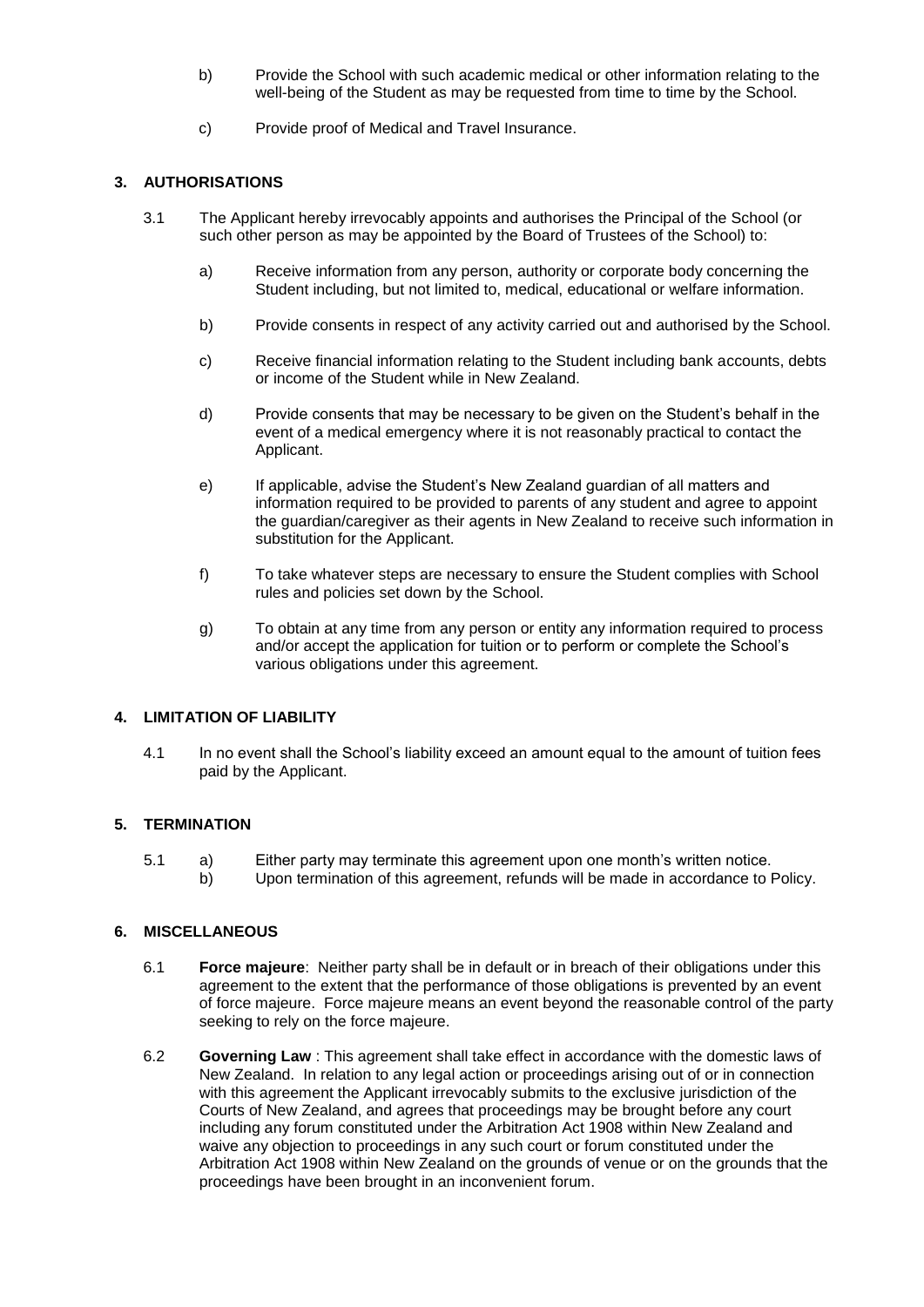- b) Provide the School with such academic medical or other information relating to the well-being of the Student as may be requested from time to time by the School.
- c) Provide proof of Medical and Travel Insurance.

## **3. AUTHORISATIONS**

- 3.1 The Applicant hereby irrevocably appoints and authorises the Principal of the School (or such other person as may be appointed by the Board of Trustees of the School) to:
	- a) Receive information from any person, authority or corporate body concerning the Student including, but not limited to, medical, educational or welfare information.
	- b) Provide consents in respect of any activity carried out and authorised by the School.
	- c) Receive financial information relating to the Student including bank accounts, debts or income of the Student while in New Zealand.
	- d) Provide consents that may be necessary to be given on the Student's behalf in the event of a medical emergency where it is not reasonably practical to contact the Applicant.
	- e) If applicable, advise the Student's New Zealand guardian of all matters and information required to be provided to parents of any student and agree to appoint the guardian/caregiver as their agents in New Zealand to receive such information in substitution for the Applicant.
	- f) To take whatever steps are necessary to ensure the Student complies with School rules and policies set down by the School.
	- g) To obtain at any time from any person or entity any information required to process and/or accept the application for tuition or to perform or complete the School's various obligations under this agreement.

## **4. LIMITATION OF LIABILITY**

4.1 In no event shall the School's liability exceed an amount equal to the amount of tuition fees paid by the Applicant.

## **5. TERMINATION**

- 5.1 a) Either party may terminate this agreement upon one month's written notice.
	- b) Upon termination of this agreement, refunds will be made in accordance to Policy.

#### **6. MISCELLANEOUS**

- 6.1 **Force majeure**: Neither party shall be in default or in breach of their obligations under this agreement to the extent that the performance of those obligations is prevented by an event of force majeure. Force majeure means an event beyond the reasonable control of the party seeking to rely on the force majeure.
- 6.2 **Governing Law** : This agreement shall take effect in accordance with the domestic laws of New Zealand. In relation to any legal action or proceedings arising out of or in connection with this agreement the Applicant irrevocably submits to the exclusive jurisdiction of the Courts of New Zealand, and agrees that proceedings may be brought before any court including any forum constituted under the Arbitration Act 1908 within New Zealand and waive any objection to proceedings in any such court or forum constituted under the Arbitration Act 1908 within New Zealand on the grounds of venue or on the grounds that the proceedings have been brought in an inconvenient forum.